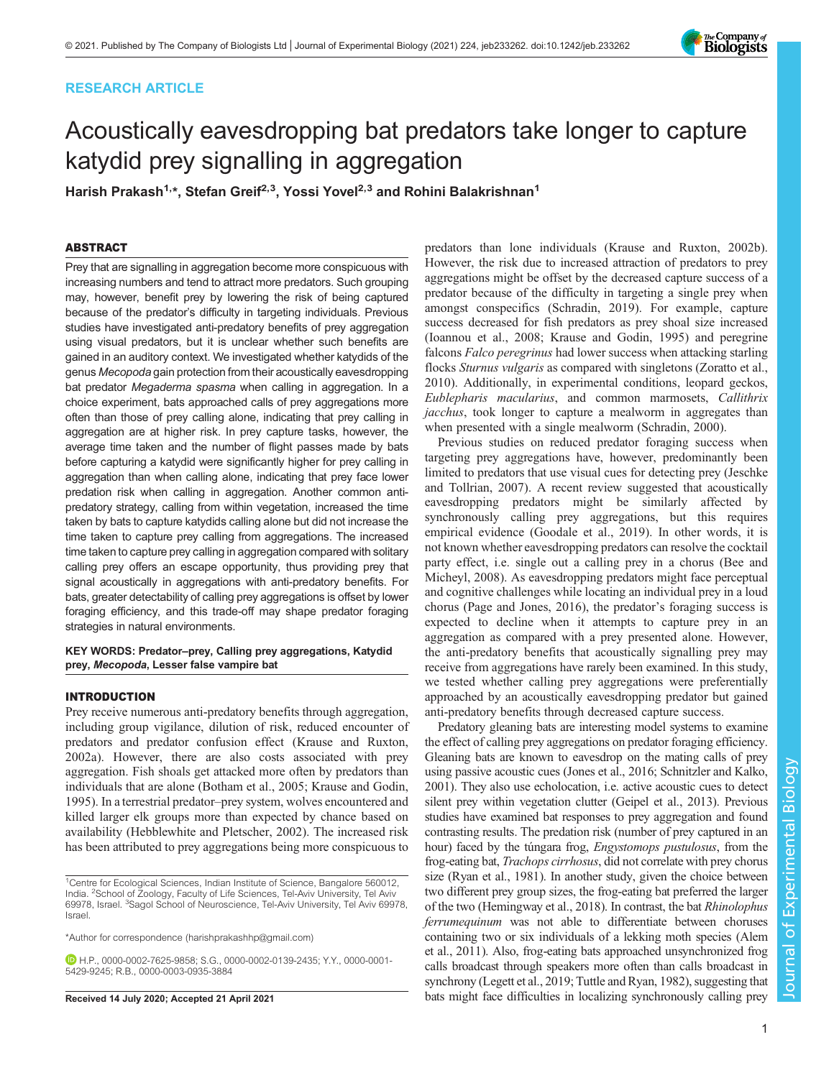# RESEARCH ARTICLE



# Acoustically eavesdropping bat predators take longer to capture katydid prey signalling in aggregation

Harish Prakash<sup>1,\*</sup>, Stefan Greif<sup>2,3</sup>, Yossi Yovel<sup>2,3</sup> and Rohini Balakrishnan<sup>1</sup>

# ABSTRACT

Prey that are signalling in aggregation become more conspicuous with increasing numbers and tend to attract more predators. Such grouping may, however, benefit prey by lowering the risk of being captured because of the predator's difficulty in targeting individuals. Previous studies have investigated anti-predatory benefits of prey aggregation using visual predators, but it is unclear whether such benefits are gained in an auditory context. We investigated whether katydids of the genus Mecopoda gain protection from their acoustically eavesdropping bat predator Megaderma spasma when calling in aggregation. In a choice experiment, bats approached calls of prey aggregations more often than those of prey calling alone, indicating that prey calling in aggregation are at higher risk. In prey capture tasks, however, the average time taken and the number of flight passes made by bats before capturing a katydid were significantly higher for prey calling in aggregation than when calling alone, indicating that prey face lower predation risk when calling in aggregation. Another common antipredatory strategy, calling from within vegetation, increased the time taken by bats to capture katydids calling alone but did not increase the time taken to capture prey calling from aggregations. The increased time taken to capture prey calling in aggregation compared with solitary calling prey offers an escape opportunity, thus providing prey that signal acoustically in aggregations with anti-predatory benefits. For bats, greater detectability of calling prey aggregations is offset by lower foraging efficiency, and this trade-off may shape predator foraging strategies in natural environments.

KEY WORDS: Predator–prey, Calling prey aggregations, Katydid prey, Mecopoda, Lesser false vampire bat

# INTRODUCTION

Prey receive numerous anti-predatory benefits through aggregation, including group vigilance, dilution of risk, reduced encounter of predators and predator confusion effect ([Krause and Ruxton,](#page-7-0) [2002a](#page-7-0)). However, there are also costs associated with prey aggregation. Fish shoals get attacked more often by predators than individuals that are alone ([Botham et al., 2005](#page-7-0); [Krause and Godin,](#page-7-0) [1995](#page-7-0)). In a terrestrial predator–prey system, wolves encountered and killed larger elk groups more than expected by chance based on availability ([Hebblewhite and Pletscher, 2002\)](#page-7-0). The increased risk has been attributed to prey aggregations being more conspicuous to

\*Author for correspondence [\(harishprakashhp@gmail.com](mailto:harishprakashhp@gmail.com))

H.P., [0000-0002-7625-9858;](http://orcid.org/0000-0002-7625-9858) S.G., [0000-0002-0139-2435](http://orcid.org/0000-0002-0139-2435); Y.Y., [0000-0001-](http://orcid.org/0000-0001-5429-9245) [5429-9245](http://orcid.org/0000-0001-5429-9245); R.B., [0000-0003-0935-3884](http://orcid.org/0000-0003-0935-3884)

predators than lone individuals ([Krause and Ruxton, 2002b\)](#page-7-0). However, the risk due to increased attraction of predators to prey aggregations might be offset by the decreased capture success of a predator because of the difficulty in targeting a single prey when amongst conspecifics [\(Schradin, 2019](#page-8-0)). For example, capture success decreased for fish predators as prey shoal size increased [\(Ioannou et al., 2008; Krause and Godin, 1995\)](#page-7-0) and peregrine falcons Falco peregrinus had lower success when attacking starling flocks Sturnus vulgaris as compared with singletons ([Zoratto et al.,](#page-8-0) [2010\)](#page-8-0). Additionally, in experimental conditions, leopard geckos, Eublepharis macularius, and common marmosets, Callithrix jacchus, took longer to capture a mealworm in aggregates than when presented with a single mealworm [\(Schradin, 2000](#page-8-0)).

Previous studies on reduced predator foraging success when targeting prey aggregations have, however, predominantly been limited to predators that use visual cues for detecting prey ([Jeschke](#page-7-0) [and Tollrian, 2007\)](#page-7-0). A recent review suggested that acoustically eavesdropping predators might be similarly affected by synchronously calling prey aggregations, but this requires empirical evidence [\(Goodale et al., 2019\)](#page-7-0). In other words, it is not known whether eavesdropping predators can resolve the cocktail party effect, i.e. single out a calling prey in a chorus ([Bee and](#page-7-0) [Micheyl, 2008](#page-7-0)). As eavesdropping predators might face perceptual and cognitive challenges while locating an individual prey in a loud chorus [\(Page and Jones, 2016](#page-7-0)), the predator's foraging success is expected to decline when it attempts to capture prey in an aggregation as compared with a prey presented alone. However, the anti-predatory benefits that acoustically signalling prey may receive from aggregations have rarely been examined. In this study, we tested whether calling prey aggregations were preferentially approached by an acoustically eavesdropping predator but gained anti-predatory benefits through decreased capture success.

Predatory gleaning bats are interesting model systems to examine the effect of calling prey aggregations on predator foraging efficiency. Gleaning bats are known to eavesdrop on the mating calls of prey using passive acoustic cues ([Jones et al., 2016; Schnitzler and Kalko,](#page-7-0) [2001\)](#page-7-0). They also use echolocation, i.e. active acoustic cues to detect silent prey within vegetation clutter [\(Geipel et al., 2013](#page-7-0)). Previous studies have examined bat responses to prey aggregation and found contrasting results. The predation risk (number of prey captured in an hour) faced by the túngara frog, Engystomops pustulosus, from the frog-eating bat, Trachops cirrhosus, did not correlate with prey chorus size [\(Ryan et al., 1981](#page-7-0)). In another study, given the choice between two different prey group sizes, the frog-eating bat preferred the larger of the two [\(Hemingway et al., 2018](#page-7-0)). In contrast, the bat Rhinolophus ferrumequinum was not able to differentiate between choruses containing two or six individuals of a lekking moth species [\(Alem](#page-7-0) [et al., 2011\)](#page-7-0). Also, frog-eating bats approached unsynchronized frog calls broadcast through speakers more often than calls broadcast in synchrony ([Legett et al., 2019;](#page-7-0) [Tuttle and Ryan, 1982\)](#page-8-0), suggesting that Received 14 July 2020; Accepted 21 April 2021 bats might face difficulties in localizing synchronously calling prey

<sup>&</sup>lt;sup>1</sup>Centre for Ecological Sciences, Indian Institute of Science, Bangalore 560012, India. <sup>2</sup>School of Zoology, Faculty of Life Sciences, Tel-Aviv University, Tel Aviv 69978, Israel. <sup>3</sup>Sagol School of Neuroscience, Tel-Aviv University, Tel Aviv 69978, Israel.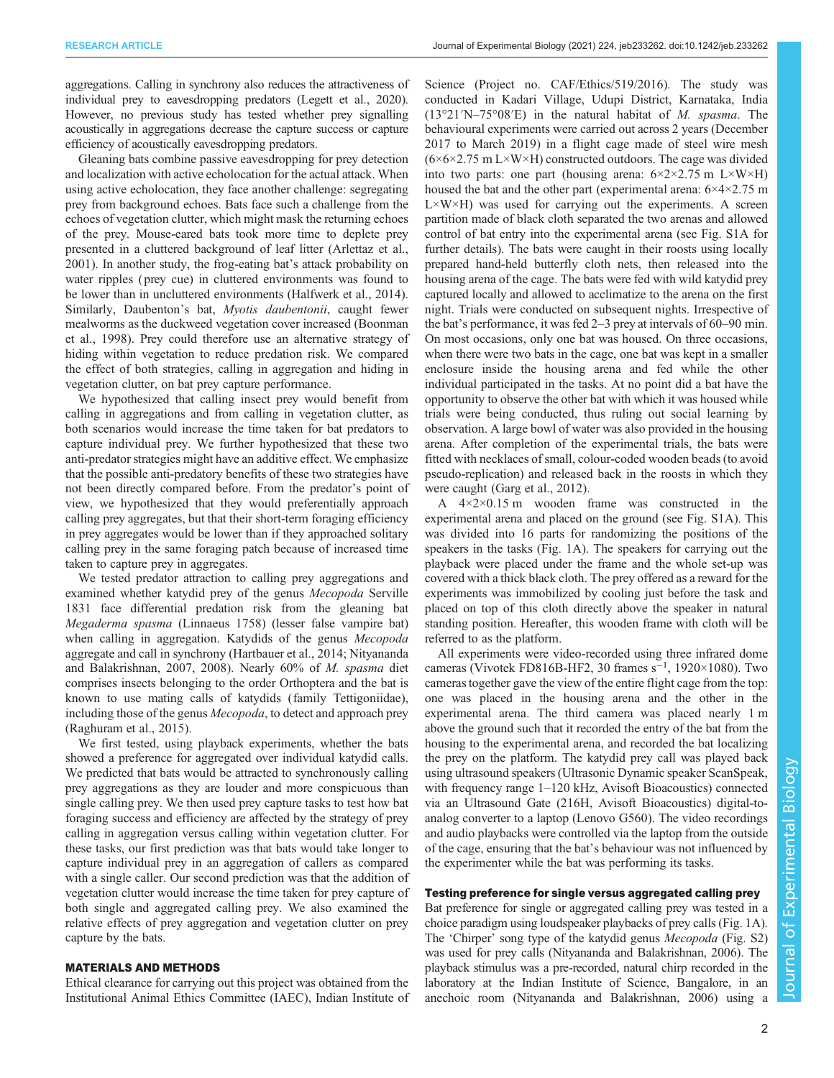aggregations. Calling in synchrony also reduces the attractiveness of individual prey to eavesdropping predators [\(Legett et al., 2020\)](#page-7-0). However, no previous study has tested whether prey signalling acoustically in aggregations decrease the capture success or capture efficiency of acoustically eavesdropping predators.

Gleaning bats combine passive eavesdropping for prey detection and localization with active echolocation for the actual attack. When using active echolocation, they face another challenge: segregating prey from background echoes. Bats face such a challenge from the echoes of vegetation clutter, which might mask the returning echoes of the prey. Mouse-eared bats took more time to deplete prey presented in a cluttered background of leaf litter [\(Arlettaz et al.,](#page-7-0) [2001](#page-7-0)). In another study, the frog-eating bat's attack probability on water ripples ( prey cue) in cluttered environments was found to be lower than in uncluttered environments [\(Halfwerk et al., 2014\)](#page-7-0). Similarly, Daubenton's bat, Myotis daubentonii, caught fewer mealworms as the duckweed vegetation cover increased [\(Boonman](#page-7-0) [et al., 1998](#page-7-0)). Prey could therefore use an alternative strategy of hiding within vegetation to reduce predation risk. We compared the effect of both strategies, calling in aggregation and hiding in vegetation clutter, on bat prey capture performance.

We hypothesized that calling insect prey would benefit from calling in aggregations and from calling in vegetation clutter, as both scenarios would increase the time taken for bat predators to capture individual prey. We further hypothesized that these two anti-predator strategies might have an additive effect. We emphasize that the possible anti-predatory benefits of these two strategies have not been directly compared before. From the predator's point of view, we hypothesized that they would preferentially approach calling prey aggregates, but that their short-term foraging efficiency in prey aggregates would be lower than if they approached solitary calling prey in the same foraging patch because of increased time taken to capture prey in aggregates.

We tested predator attraction to calling prey aggregations and examined whether katydid prey of the genus Mecopoda Serville 1831 face differential predation risk from the gleaning bat Megaderma spasma (Linnaeus 1758) (lesser false vampire bat) when calling in aggregation. Katydids of the genus *Mecopoda* aggregate and call in synchrony [\(Hartbauer et al., 2014](#page-7-0); [Nityananda](#page-7-0) [and Balakrishnan, 2007](#page-7-0), [2008\)](#page-7-0). Nearly 60% of M. spasma diet comprises insects belonging to the order Orthoptera and the bat is known to use mating calls of katydids (family Tettigoniidae), including those of the genus Mecopoda, to detect and approach prey [\(Raghuram et al., 2015](#page-7-0)).

We first tested, using playback experiments, whether the bats showed a preference for aggregated over individual katydid calls. We predicted that bats would be attracted to synchronously calling prey aggregations as they are louder and more conspicuous than single calling prey. We then used prey capture tasks to test how bat foraging success and efficiency are affected by the strategy of prey calling in aggregation versus calling within vegetation clutter. For these tasks, our first prediction was that bats would take longer to capture individual prey in an aggregation of callers as compared with a single caller. Our second prediction was that the addition of vegetation clutter would increase the time taken for prey capture of both single and aggregated calling prey. We also examined the relative effects of prey aggregation and vegetation clutter on prey capture by the bats.

## MATERIALS AND METHODS

Ethical clearance for carrying out this project was obtained from the Institutional Animal Ethics Committee (IAEC), Indian Institute of Science (Project no. CAF/Ethics/519/2016). The study was conducted in Kadari Village, Udupi District, Karnataka, India (13°21′N–75°08′E) in the natural habitat of M. spasma. The behavioural experiments were carried out across 2 years (December 2017 to March 2019) in a flight cage made of steel wire mesh  $(6\times6\times2.75 \text{ m L}\times\text{W}\times\text{H})$  constructed outdoors. The cage was divided into two parts: one part (housing arena:  $6 \times 2 \times 2.75$  m L $\times$ W $\times$ H) housed the bat and the other part (experimental arena: 6×4×2.75 m  $L \times W \times H$ ) was used for carrying out the experiments. A screen partition made of black cloth separated the two arenas and allowed control of bat entry into the experimental arena (see [Fig. S1A](https://journals.biologists.com/jeb/article-lookup/DOI/10.1242/jeb.233262) for further details). The bats were caught in their roosts using locally prepared hand-held butterfly cloth nets, then released into the housing arena of the cage. The bats were fed with wild katydid prey captured locally and allowed to acclimatize to the arena on the first night. Trials were conducted on subsequent nights. Irrespective of the bat's performance, it was fed 2–3 prey at intervals of 60–90 min. On most occasions, only one bat was housed. On three occasions, when there were two bats in the cage, one bat was kept in a smaller enclosure inside the housing arena and fed while the other individual participated in the tasks. At no point did a bat have the opportunity to observe the other bat with which it was housed while trials were being conducted, thus ruling out social learning by observation. A large bowl of water was also provided in the housing arena. After completion of the experimental trials, the bats were fitted with necklaces of small, colour-coded wooden beads (to avoid pseudo-replication) and released back in the roosts in which they were caught ([Garg et al., 2012\)](#page-7-0).

A 4×2×0.15 m wooden frame was constructed in the experimental arena and placed on the ground (see [Fig. S1A\)](https://journals.biologists.com/jeb/article-lookup/DOI/10.1242/jeb.233262). This was divided into 16 parts for randomizing the positions of the speakers in the tasks ([Fig. 1](#page-2-0)A). The speakers for carrying out the playback were placed under the frame and the whole set-up was covered with a thick black cloth. The prey offered as a reward for the experiments was immobilized by cooling just before the task and placed on top of this cloth directly above the speaker in natural standing position. Hereafter, this wooden frame with cloth will be referred to as the platform.

All experiments were video-recorded using three infrared dome cameras (Vivotek FD816B-HF2, 30 frames s−<sup>1</sup> , 1920×1080). Two cameras together gave the view of the entire flight cage from the top: one was placed in the housing arena and the other in the experimental arena. The third camera was placed nearly 1 m above the ground such that it recorded the entry of the bat from the housing to the experimental arena, and recorded the bat localizing the prey on the platform. The katydid prey call was played back using ultrasound speakers (Ultrasonic Dynamic speaker ScanSpeak, with frequency range 1–120 kHz, Avisoft Bioacoustics) connected via an Ultrasound Gate (216H, Avisoft Bioacoustics) digital-toanalog converter to a laptop (Lenovo G560). The video recordings and audio playbacks were controlled via the laptop from the outside of the cage, ensuring that the bat's behaviour was not influenced by the experimenter while the bat was performing its tasks.

# Testing preference for single versus aggregated calling prey

Bat preference for single or aggregated calling prey was tested in a choice paradigm using loudspeaker playbacks of prey calls ([Fig. 1](#page-2-0)A). The 'Chirper' song type of the katydid genus Mecopoda [\(Fig. S2\)](https://journals.biologists.com/jeb/article-lookup/DOI/10.1242/jeb.233262) was used for prey calls ([Nityananda and Balakrishnan, 2006\)](#page-7-0). The playback stimulus was a pre-recorded, natural chirp recorded in the laboratory at the Indian Institute of Science, Bangalore, in an anechoic room ([Nityananda and Balakrishnan, 2006](#page-7-0)) using a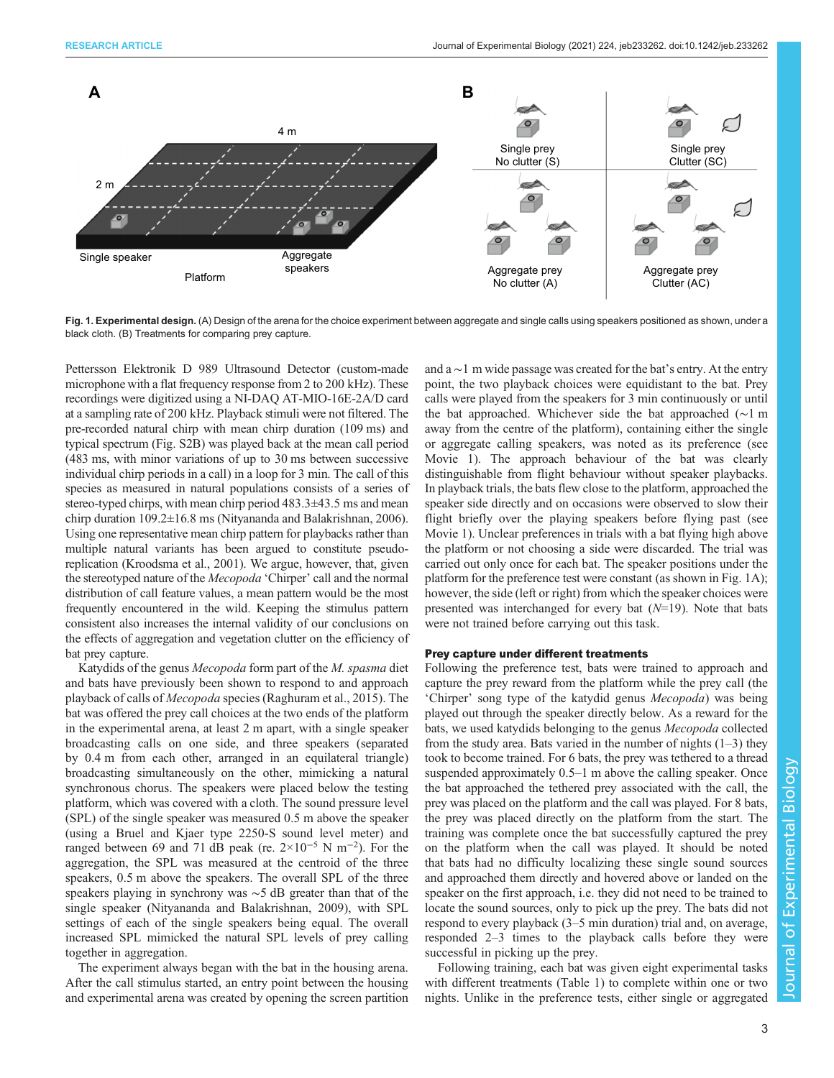<span id="page-2-0"></span>

Fig. 1. Experimental design. (A) Design of the arena for the choice experiment between aggregate and single calls using speakers positioned as shown, under a black cloth. (B) Treatments for comparing prey capture.

Pettersson Elektronik D 989 Ultrasound Detector (custom-made microphone with a flat frequency response from 2 to 200 kHz). These recordings were digitized using a NI-DAQ AT-MIO-16E-2A/D card at a sampling rate of 200 kHz. Playback stimuli were not filtered. The pre-recorded natural chirp with mean chirp duration (109 ms) and typical spectrum [\(Fig. S2B\)](https://journals.biologists.com/jeb/article-lookup/DOI/10.1242/jeb.233262) was played back at the mean call period (483 ms, with minor variations of up to 30 ms between successive individual chirp periods in a call) in a loop for 3 min. The call of this species as measured in natural populations consists of a series of stereo-typed chirps, with mean chirp period 483.3±43.5 ms and mean chirp duration 109.2±16.8 ms ([Nityananda and Balakrishnan, 2006\)](#page-7-0). Using one representative mean chirp pattern for playbacks rather than multiple natural variants has been argued to constitute pseudoreplication ([Kroodsma et al., 2001\)](#page-7-0). We argue, however, that, given the stereotyped nature of the Mecopoda 'Chirper' call and the normal distribution of call feature values, a mean pattern would be the most frequently encountered in the wild. Keeping the stimulus pattern consistent also increases the internal validity of our conclusions on the effects of aggregation and vegetation clutter on the efficiency of bat prey capture.

Katydids of the genus Mecopoda form part of the M. spasma diet and bats have previously been shown to respond to and approach playback of calls of Mecopoda species ([Raghuram et al., 2015\)](#page-7-0). The bat was offered the prey call choices at the two ends of the platform in the experimental arena, at least 2 m apart, with a single speaker broadcasting calls on one side, and three speakers (separated by 0.4 m from each other, arranged in an equilateral triangle) broadcasting simultaneously on the other, mimicking a natural synchronous chorus. The speakers were placed below the testing platform, which was covered with a cloth. The sound pressure level (SPL) of the single speaker was measured 0.5 m above the speaker (using a Bruel and Kjaer type 2250-S sound level meter) and ranged between 69 and 71 dB peak (re.  $2 \times 10^{-5}$  N m<sup>-2</sup>). For the aggregation, the SPL was measured at the centroid of the three speakers, 0.5 m above the speakers. The overall SPL of the three speakers playing in synchrony was ∼5 dB greater than that of the single speaker [\(Nityananda and Balakrishnan, 2009\)](#page-7-0), with SPL settings of each of the single speakers being equal. The overall increased SPL mimicked the natural SPL levels of prey calling together in aggregation.

The experiment always began with the bat in the housing arena. After the call stimulus started, an entry point between the housing and experimental arena was created by opening the screen partition and a ∼1 m wide passage was created for the bat's entry. At the entry point, the two playback choices were equidistant to the bat. Prey calls were played from the speakers for 3 min continuously or until the bat approached. Whichever side the bat approached (∼1 m away from the centre of the platform), containing either the single or aggregate calling speakers, was noted as its preference (see Movie 1). The approach behaviour of the bat was clearly distinguishable from flight behaviour without speaker playbacks. In playback trials, the bats flew close to the platform, approached the speaker side directly and on occasions were observed to slow their flight briefly over the playing speakers before flying past (see Movie 1). Unclear preferences in trials with a bat flying high above the platform or not choosing a side were discarded. The trial was carried out only once for each bat. The speaker positions under the platform for the preference test were constant (as shown in Fig. 1A); however, the side (left or right) from which the speaker choices were presented was interchanged for every bat  $(N=19)$ . Note that bats were not trained before carrying out this task.

## Prey capture under different treatments

Following the preference test, bats were trained to approach and capture the prey reward from the platform while the prey call (the 'Chirper' song type of the katydid genus Mecopoda) was being played out through the speaker directly below. As a reward for the bats, we used katydids belonging to the genus Mecopoda collected from the study area. Bats varied in the number of nights  $(1-3)$  they took to become trained. For 6 bats, the prey was tethered to a thread suspended approximately 0.5–1 m above the calling speaker. Once the bat approached the tethered prey associated with the call, the prey was placed on the platform and the call was played. For 8 bats, the prey was placed directly on the platform from the start. The training was complete once the bat successfully captured the prey on the platform when the call was played. It should be noted that bats had no difficulty localizing these single sound sources and approached them directly and hovered above or landed on the speaker on the first approach, i.e. they did not need to be trained to locate the sound sources, only to pick up the prey. The bats did not respond to every playback (3–5 min duration) trial and, on average, responded 2–3 times to the playback calls before they were successful in picking up the prey.

Following training, each bat was given eight experimental tasks with different treatments ([Table 1\)](#page-3-0) to complete within one or two nights. Unlike in the preference tests, either single or aggregated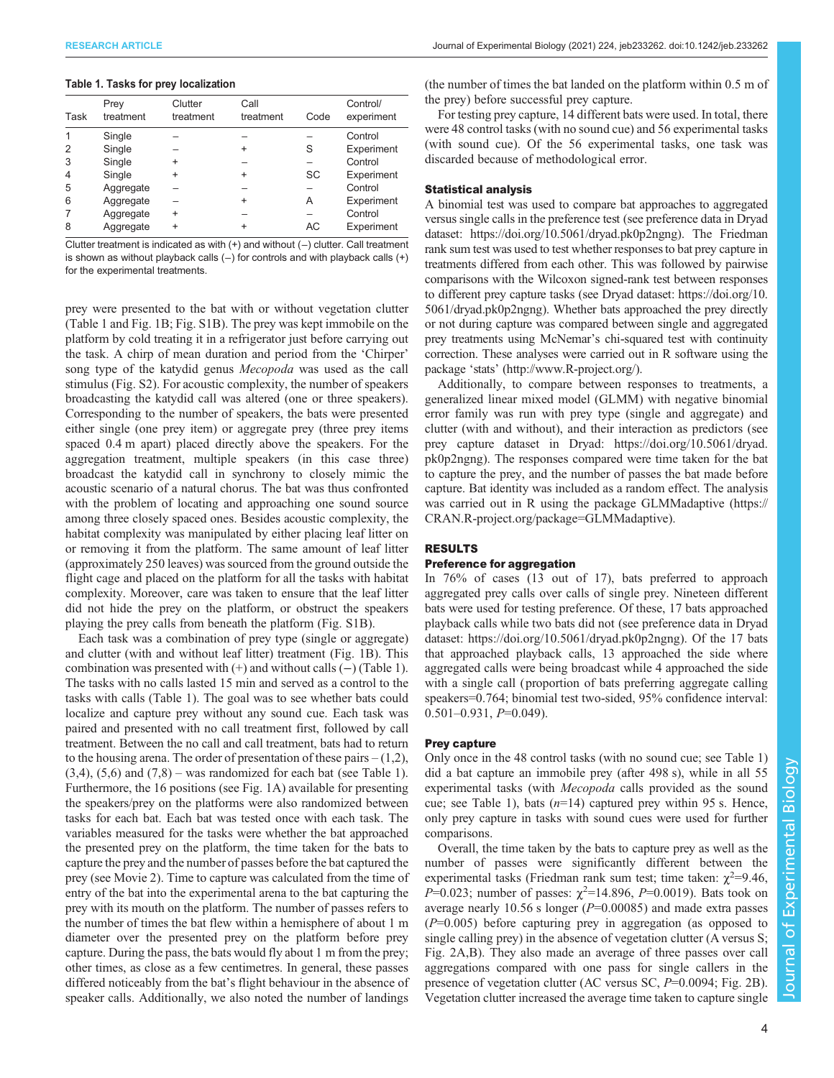#### <span id="page-3-0"></span>Table 1. Tasks for prey localization

| Task | Prey<br>treatment | Clutter<br>treatment | Call<br>treatment | Code | Control/<br>experiment |
|------|-------------------|----------------------|-------------------|------|------------------------|
|      | Single            |                      |                   |      | Control                |
| 2    | Single            |                      | ÷                 | S    | Experiment             |
| 3    | Single            | $\ddot{}$            |                   |      | Control                |
| 4    | Single            | $\ddot{}$            | $\ddot{}$         | SC   | Experiment             |
| 5    | Aggregate         |                      |                   |      | Control                |
| 6    | Aggregate         |                      | $\ddot{}$         | Α    | Experiment             |
|      | Aggregate         | $\ddot{}$            |                   |      | Control                |
| 8    | Aggregate         | $\ddot{}$            | $\ddot{}$         | AC   | Experiment             |

Clutter treatment is indicated as with (+) and without (−) clutter. Call treatment is shown as without playback calls (−) for controls and with playback calls (+) for the experimental treatments.

prey were presented to the bat with or without vegetation clutter (Table 1 and [Fig. 1](#page-2-0)B; [Fig. S1B](https://journals.biologists.com/jeb/article-lookup/DOI/10.1242/jeb.233262)). The prey was kept immobile on the platform by cold treating it in a refrigerator just before carrying out the task. A chirp of mean duration and period from the 'Chirper' song type of the katydid genus Mecopoda was used as the call stimulus ([Fig. S2\)](https://journals.biologists.com/jeb/article-lookup/DOI/10.1242/jeb.233262). For acoustic complexity, the number of speakers broadcasting the katydid call was altered (one or three speakers). Corresponding to the number of speakers, the bats were presented either single (one prey item) or aggregate prey (three prey items spaced 0.4 m apart) placed directly above the speakers. For the aggregation treatment, multiple speakers (in this case three) broadcast the katydid call in synchrony to closely mimic the acoustic scenario of a natural chorus. The bat was thus confronted with the problem of locating and approaching one sound source among three closely spaced ones. Besides acoustic complexity, the habitat complexity was manipulated by either placing leaf litter on or removing it from the platform. The same amount of leaf litter (approximately 250 leaves) was sourced from the ground outside the flight cage and placed on the platform for all the tasks with habitat complexity. Moreover, care was taken to ensure that the leaf litter did not hide the prey on the platform, or obstruct the speakers playing the prey calls from beneath the platform [\(Fig. S1B](https://journals.biologists.com/jeb/article-lookup/DOI/10.1242/jeb.233262)).

Each task was a combination of prey type (single or aggregate) and clutter (with and without leaf litter) treatment ([Fig. 1](#page-2-0)B). This combination was presented with (+) and without calls (−) (Table 1). The tasks with no calls lasted 15 min and served as a control to the tasks with calls (Table 1). The goal was to see whether bats could localize and capture prey without any sound cue. Each task was paired and presented with no call treatment first, followed by call treatment. Between the no call and call treatment, bats had to return to the housing arena. The order of presentation of these pairs  $-(1,2)$ ,  $(3,4)$ ,  $(5,6)$  and  $(7,8)$  – was randomized for each bat (see Table 1). Furthermore, the 16 positions (see [Fig. 1A](#page-2-0)) available for presenting the speakers/prey on the platforms were also randomized between tasks for each bat. Each bat was tested once with each task. The variables measured for the tasks were whether the bat approached the presented prey on the platform, the time taken for the bats to capture the prey and the number of passes before the bat captured the prey (see Movie 2). Time to capture was calculated from the time of entry of the bat into the experimental arena to the bat capturing the prey with its mouth on the platform. The number of passes refers to the number of times the bat flew within a hemisphere of about 1 m diameter over the presented prey on the platform before prey capture. During the pass, the bats would fly about 1 m from the prey; other times, as close as a few centimetres. In general, these passes differed noticeably from the bat's flight behaviour in the absence of speaker calls. Additionally, we also noted the number of landings

(the number of times the bat landed on the platform within 0.5 m of the prey) before successful prey capture.

For testing prey capture, 14 different bats were used. In total, there were 48 control tasks (with no sound cue) and 56 experimental tasks (with sound cue). Of the 56 experimental tasks, one task was discarded because of methodological error.

## Statistical analysis

A binomial test was used to compare bat approaches to aggregated versus single calls in the preference test (see preference data in Dryad dataset:<https://doi.org/10.5061/dryad.pk0p2ngng>). The Friedman rank sum test was used to test whether responses to bat prey capture in treatments differed from each other. This was followed by pairwise comparisons with the Wilcoxon signed-rank test between responses to different prey capture tasks (see Dryad dataset: [https://doi.org/10.](https://doi.org/10.5061/dryad.pk0p2ngng) [5061/dryad.pk0p2ngng](https://doi.org/10.5061/dryad.pk0p2ngng)). Whether bats approached the prey directly or not during capture was compared between single and aggregated prey treatments using McNemar's chi-squared test with continuity correction. These analyses were carried out in R software using the package 'stats' [\(http://www.R-project.org](http://www.R-project.org)/).

Additionally, to compare between responses to treatments, a generalized linear mixed model (GLMM) with negative binomial error family was run with prey type (single and aggregate) and clutter (with and without), and their interaction as predictors (see prey capture dataset in Dryad: [https://doi.org/10.5061/dryad.](https://doi.org/10.5061/dryad.pk0p2ngng) [pk0p2ngng\)](https://doi.org/10.5061/dryad.pk0p2ngng). The responses compared were time taken for the bat to capture the prey, and the number of passes the bat made before capture. Bat identity was included as a random effect. The analysis was carried out in R using the package GLMMadaptive ([https://](https://CRAN.R-project.org/package=GLMMadaptive) [CRAN.R-project.org/package=GLMMadaptive\)](https://CRAN.R-project.org/package=GLMMadaptive).

## RESULTS

## Preference for aggregation

In 76% of cases (13 out of 17), bats preferred to approach aggregated prey calls over calls of single prey. Nineteen different bats were used for testing preference. Of these, 17 bats approached playback calls while two bats did not (see preference data in Dryad dataset:<https://doi.org/10.5061/dryad.pk0p2ngng>). Of the 17 bats that approached playback calls, 13 approached the side where aggregated calls were being broadcast while 4 approached the side with a single call ( proportion of bats preferring aggregate calling speakers=0.764; binomial test two-sided, 95% confidence interval:  $0.501 - 0.931$ ,  $P = 0.049$ ).

# Prey capture

Only once in the 48 control tasks (with no sound cue; see Table 1) did a bat capture an immobile prey (after 498 s), while in all 55 experimental tasks (with Mecopoda calls provided as the sound cue; see Table 1), bats  $(n=14)$  captured prey within 95 s. Hence, only prey capture in tasks with sound cues were used for further comparisons.

Overall, the time taken by the bats to capture prey as well as the number of passes were significantly different between the experimental tasks (Friedman rank sum test; time taken:  $\chi^2$ =9.46,  $P=0.023$ ; number of passes:  $\chi^2=14.896$ ,  $P=0.0019$ ). Bats took on average nearly 10.56 s longer ( $P=0.00085$ ) and made extra passes  $(P=0.005)$  before capturing prey in aggregation (as opposed to single calling prey) in the absence of vegetation clutter (A versus S; [Fig. 2](#page-4-0)A,B). They also made an average of three passes over call aggregations compared with one pass for single callers in the presence of vegetation clutter (AC versus SC, P=0.0094; [Fig. 2](#page-4-0)B). Vegetation clutter increased the average time taken to capture single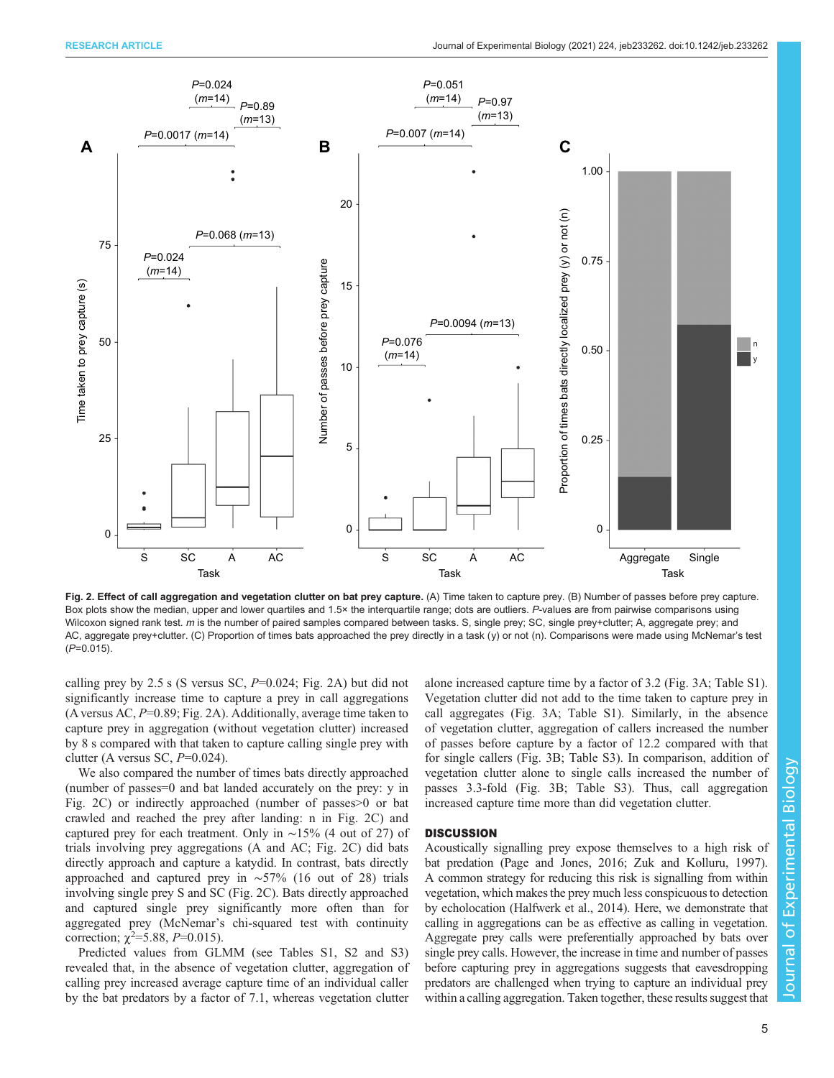<span id="page-4-0"></span>

Fig. 2. Effect of call aggregation and vegetation clutter on bat prey capture. (A) Time taken to capture prey. (B) Number of passes before prey capture. Box plots show the median, upper and lower quartiles and 1.5× the interquartile range; dots are outliers. P-values are from pairwise comparisons using Wilcoxon signed rank test. m is the number of paired samples compared between tasks. S, single prey; SC, single prey+clutter; A, aggregate prey; and AC, aggregate prey+clutter. (C) Proportion of times bats approached the prey directly in a task (y) or not (n). Comparisons were made using McNemar's test  $(P=0.015)$ .

calling prey by 2.5 s (S versus SC, P=0.024; Fig. 2A) but did not significantly increase time to capture a prey in call aggregations (A versus AC,  $P=0.89$ ; Fig. 2A). Additionally, average time taken to capture prey in aggregation (without vegetation clutter) increased by 8 s compared with that taken to capture calling single prey with clutter (A versus SC,  $P=0.024$ ).

We also compared the number of times bats directly approached (number of passes=0 and bat landed accurately on the prey: y in Fig. 2C) or indirectly approached (number of passes>0 or bat crawled and reached the prey after landing: n in Fig. 2C) and captured prey for each treatment. Only in ∼15% (4 out of 27) of trials involving prey aggregations (A and AC; Fig. 2C) did bats directly approach and capture a katydid. In contrast, bats directly approached and captured prey in ∼57% (16 out of 28) trials involving single prey S and SC (Fig. 2C). Bats directly approached and captured single prey significantly more often than for aggregated prey (McNemar's chi-squared test with continuity correction;  $\chi^2 = 5.88$ ,  $P = 0.015$ ).

Predicted values from GLMM (see [Tables S1](https://journals.biologists.com/jeb/article-lookup/DOI/10.1242/jeb.233262), S2 and S3) revealed that, in the absence of vegetation clutter, aggregation of calling prey increased average capture time of an individual caller by the bat predators by a factor of 7.1, whereas vegetation clutter

alone increased capture time by a factor of 3.2 ([Fig. 3](#page-5-0)A; [Table S1\)](https://journals.biologists.com/jeb/article-lookup/DOI/10.1242/jeb.233262). Vegetation clutter did not add to the time taken to capture prey in call aggregates [\(Fig. 3A](#page-5-0); [Table S1](https://journals.biologists.com/jeb/article-lookup/DOI/10.1242/jeb.233262)). Similarly, in the absence of vegetation clutter, aggregation of callers increased the number of passes before capture by a factor of 12.2 compared with that for single callers ([Fig. 3B](#page-5-0); [Table S3](https://journals.biologists.com/jeb/article-lookup/DOI/10.1242/jeb.233262)). In comparison, addition of vegetation clutter alone to single calls increased the number of passes 3.3-fold ([Fig. 3B](#page-5-0); [Table S3\)](https://journals.biologists.com/jeb/article-lookup/DOI/10.1242/jeb.233262). Thus, call aggregation increased capture time more than did vegetation clutter.

## **DISCUSSION**

Acoustically signalling prey expose themselves to a high risk of bat predation [\(Page and Jones, 2016](#page-7-0); [Zuk and Kolluru, 1997\)](#page-8-0). A common strategy for reducing this risk is signalling from within vegetation, which makes the prey much less conspicuous to detection by echolocation [\(Halfwerk et al., 2014\)](#page-7-0). Here, we demonstrate that calling in aggregations can be as effective as calling in vegetation. Aggregate prey calls were preferentially approached by bats over single prey calls. However, the increase in time and number of passes before capturing prey in aggregations suggests that eavesdropping predators are challenged when trying to capture an individual prey within a calling aggregation. Taken together, these results suggest that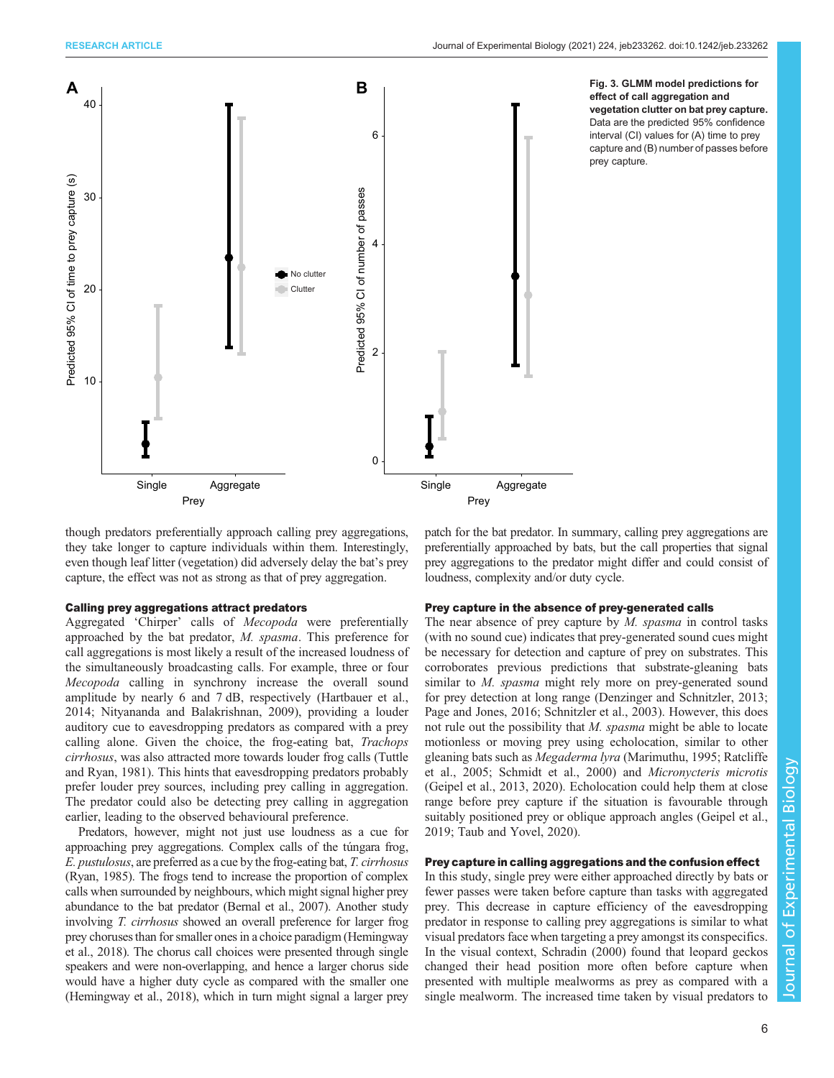<span id="page-5-0"></span>

effect of call aggregation and vegetation clutter on bat prey capture. Data are the predicted 95% confidence interval (CI) values for (A) time to prey capture and (B) number of passes before prey capture.

though predators preferentially approach calling prey aggregations, they take longer to capture individuals within them. Interestingly, even though leaf litter (vegetation) did adversely delay the bat's prey capture, the effect was not as strong as that of prey aggregation.

# Calling prey aggregations attract predators

Aggregated 'Chirper' calls of Mecopoda were preferentially approached by the bat predator, M. spasma. This preference for call aggregations is most likely a result of the increased loudness of the simultaneously broadcasting calls. For example, three or four Mecopoda calling in synchrony increase the overall sound amplitude by nearly 6 and 7 dB, respectively ([Hartbauer et al.,](#page-7-0) [2014](#page-7-0); [Nityananda and Balakrishnan, 2009](#page-7-0)), providing a louder auditory cue to eavesdropping predators as compared with a prey calling alone. Given the choice, the frog-eating bat, Trachops cirrhosus, was also attracted more towards louder frog calls ([Tuttle](#page-8-0) [and Ryan, 1981\)](#page-8-0). This hints that eavesdropping predators probably prefer louder prey sources, including prey calling in aggregation. The predator could also be detecting prey calling in aggregation earlier, leading to the observed behavioural preference.

Predators, however, might not just use loudness as a cue for approaching prey aggregations. Complex calls of the túngara frog, E. pustulosus, are preferred as a cue by the frog-eating bat, T. cirrhosus [\(Ryan, 1985](#page-7-0)). The frogs tend to increase the proportion of complex calls when surrounded by neighbours, which might signal higher prey abundance to the bat predator [\(Bernal et al., 2007\)](#page-7-0). Another study involving T. cirrhosus showed an overall preference for larger frog prey choruses than for smaller ones in a choice paradigm [\(Hemingway](#page-7-0) [et al., 2018](#page-7-0)). The chorus call choices were presented through single speakers and were non-overlapping, and hence a larger chorus side would have a higher duty cycle as compared with the smaller one [\(Hemingway et al., 2018](#page-7-0)), which in turn might signal a larger prey

patch for the bat predator. In summary, calling prey aggregations are preferentially approached by bats, but the call properties that signal prey aggregations to the predator might differ and could consist of loudness, complexity and/or duty cycle.

# Prey capture in the absence of prey-generated calls

The near absence of prey capture by  $M$ . spasma in control tasks (with no sound cue) indicates that prey-generated sound cues might be necessary for detection and capture of prey on substrates. This corroborates previous predictions that substrate-gleaning bats similar to M. spasma might rely more on prey-generated sound for prey detection at long range ([Denzinger and Schnitzler, 2013](#page-7-0); [Page and Jones, 2016](#page-7-0); [Schnitzler et al., 2003](#page-8-0)). However, this does not rule out the possibility that M. spasma might be able to locate motionless or moving prey using echolocation, similar to other gleaning bats such as Megaderma lyra ([Marimuthu, 1995; Ratcliffe](#page-7-0) [et al., 2005; Schmidt et al., 2000\)](#page-7-0) and Micronycteris microtis [\(Geipel et al., 2013, 2020](#page-7-0)). Echolocation could help them at close range before prey capture if the situation is favourable through suitably positioned prey or oblique approach angles ([Geipel et al.,](#page-7-0) [2019;](#page-7-0) [Taub and Yovel, 2020](#page-8-0)).

# Prey capture in calling aggregations and the confusion effect

In this study, single prey were either approached directly by bats or fewer passes were taken before capture than tasks with aggregated prey. This decrease in capture efficiency of the eavesdropping predator in response to calling prey aggregations is similar to what visual predators face when targeting a prey amongst its conspecifics. In the visual context, [Schradin \(2000\)](#page-8-0) found that leopard geckos changed their head position more often before capture when presented with multiple mealworms as prey as compared with a single mealworm. The increased time taken by visual predators to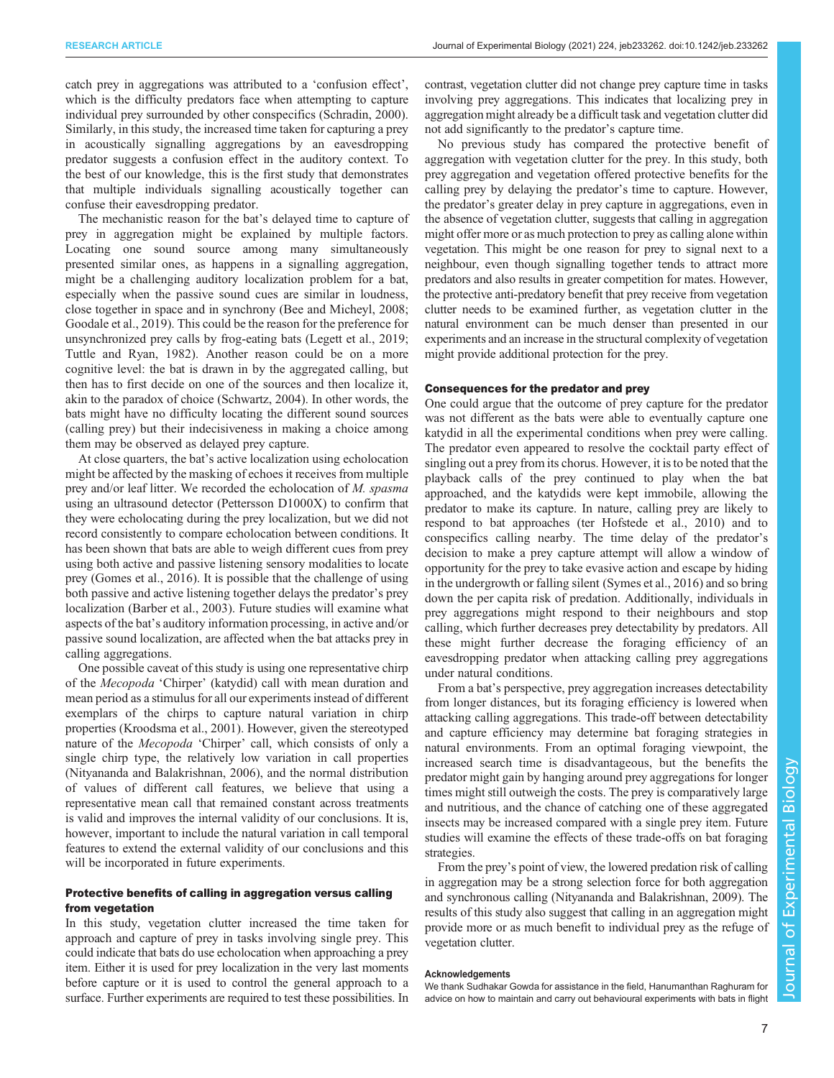catch prey in aggregations was attributed to a 'confusion effect', which is the difficulty predators face when attempting to capture individual prey surrounded by other conspecifics [\(Schradin, 2000\)](#page-8-0). Similarly, in this study, the increased time taken for capturing a prey in acoustically signalling aggregations by an eavesdropping predator suggests a confusion effect in the auditory context. To the best of our knowledge, this is the first study that demonstrates that multiple individuals signalling acoustically together can confuse their eavesdropping predator.

The mechanistic reason for the bat's delayed time to capture of prey in aggregation might be explained by multiple factors. Locating one sound source among many simultaneously presented similar ones, as happens in a signalling aggregation, might be a challenging auditory localization problem for a bat, especially when the passive sound cues are similar in loudness, close together in space and in synchrony [\(Bee and Micheyl, 2008](#page-7-0); [Goodale et al., 2019\)](#page-7-0). This could be the reason for the preference for unsynchronized prey calls by frog-eating bats [\(Legett et al., 2019](#page-7-0); [Tuttle and Ryan, 1982\)](#page-8-0). Another reason could be on a more cognitive level: the bat is drawn in by the aggregated calling, but then has to first decide on one of the sources and then localize it, akin to the paradox of choice ([Schwartz, 2004](#page-8-0)). In other words, the bats might have no difficulty locating the different sound sources (calling prey) but their indecisiveness in making a choice among them may be observed as delayed prey capture.

At close quarters, the bat's active localization using echolocation might be affected by the masking of echoes it receives from multiple prey and/or leaf litter. We recorded the echolocation of M. spasma using an ultrasound detector (Pettersson D1000X) to confirm that they were echolocating during the prey localization, but we did not record consistently to compare echolocation between conditions. It has been shown that bats are able to weigh different cues from prey using both active and passive listening sensory modalities to locate prey ([Gomes et al., 2016\)](#page-7-0). It is possible that the challenge of using both passive and active listening together delays the predator's prey localization [\(Barber et al., 2003](#page-7-0)). Future studies will examine what aspects of the bat's auditory information processing, in active and/or passive sound localization, are affected when the bat attacks prey in calling aggregations.

One possible caveat of this study is using one representative chirp of the Mecopoda 'Chirper' (katydid) call with mean duration and mean period as a stimulus for all our experiments instead of different exemplars of the chirps to capture natural variation in chirp properties ([Kroodsma et al., 2001\)](#page-7-0). However, given the stereotyped nature of the Mecopoda 'Chirper' call, which consists of only a single chirp type, the relatively low variation in call properties [\(Nityananda and Balakrishnan, 2006\)](#page-7-0), and the normal distribution of values of different call features, we believe that using a representative mean call that remained constant across treatments is valid and improves the internal validity of our conclusions. It is, however, important to include the natural variation in call temporal features to extend the external validity of our conclusions and this will be incorporated in future experiments.

## Protective benefits of calling in aggregation versus calling from vegetation

In this study, vegetation clutter increased the time taken for approach and capture of prey in tasks involving single prey. This could indicate that bats do use echolocation when approaching a prey item. Either it is used for prey localization in the very last moments before capture or it is used to control the general approach to a surface. Further experiments are required to test these possibilities. In

contrast, vegetation clutter did not change prey capture time in tasks involving prey aggregations. This indicates that localizing prey in aggregation might already be a difficult task and vegetation clutter did not add significantly to the predator's capture time.

No previous study has compared the protective benefit of aggregation with vegetation clutter for the prey. In this study, both prey aggregation and vegetation offered protective benefits for the calling prey by delaying the predator's time to capture. However, the predator's greater delay in prey capture in aggregations, even in the absence of vegetation clutter, suggests that calling in aggregation might offer more or as much protection to prey as calling alone within vegetation. This might be one reason for prey to signal next to a neighbour, even though signalling together tends to attract more predators and also results in greater competition for mates. However, the protective anti-predatory benefit that prey receive from vegetation clutter needs to be examined further, as vegetation clutter in the natural environment can be much denser than presented in our experiments and an increase in the structural complexity of vegetation might provide additional protection for the prey.

# Consequences for the predator and prey

One could argue that the outcome of prey capture for the predator was not different as the bats were able to eventually capture one katydid in all the experimental conditions when prey were calling. The predator even appeared to resolve the cocktail party effect of singling out a prey from its chorus. However, it is to be noted that the playback calls of the prey continued to play when the bat approached, and the katydids were kept immobile, allowing the predator to make its capture. In nature, calling prey are likely to respond to bat approaches ([ter Hofstede et al., 2010](#page-8-0)) and to conspecifics calling nearby. The time delay of the predator's decision to make a prey capture attempt will allow a window of opportunity for the prey to take evasive action and escape by hiding in the undergrowth or falling silent ([Symes et al., 2016\)](#page-8-0) and so bring down the per capita risk of predation. Additionally, individuals in prey aggregations might respond to their neighbours and stop calling, which further decreases prey detectability by predators. All these might further decrease the foraging efficiency of an eavesdropping predator when attacking calling prey aggregations under natural conditions.

From a bat's perspective, prey aggregation increases detectability from longer distances, but its foraging efficiency is lowered when attacking calling aggregations. This trade-off between detectability and capture efficiency may determine bat foraging strategies in natural environments. From an optimal foraging viewpoint, the increased search time is disadvantageous, but the benefits the predator might gain by hanging around prey aggregations for longer times might still outweigh the costs. The prey is comparatively large and nutritious, and the chance of catching one of these aggregated insects may be increased compared with a single prey item. Future studies will examine the effects of these trade-offs on bat foraging strategies.

From the prey's point of view, the lowered predation risk of calling in aggregation may be a strong selection force for both aggregation and synchronous calling [\(Nityananda and Balakrishnan, 2009\)](#page-7-0). The results of this study also suggest that calling in an aggregation might provide more or as much benefit to individual prey as the refuge of vegetation clutter.

#### Acknowledgements

We thank Sudhakar Gowda for assistance in the field, Hanumanthan Raghuram for advice on how to maintain and carry out behavioural experiments with bats in flight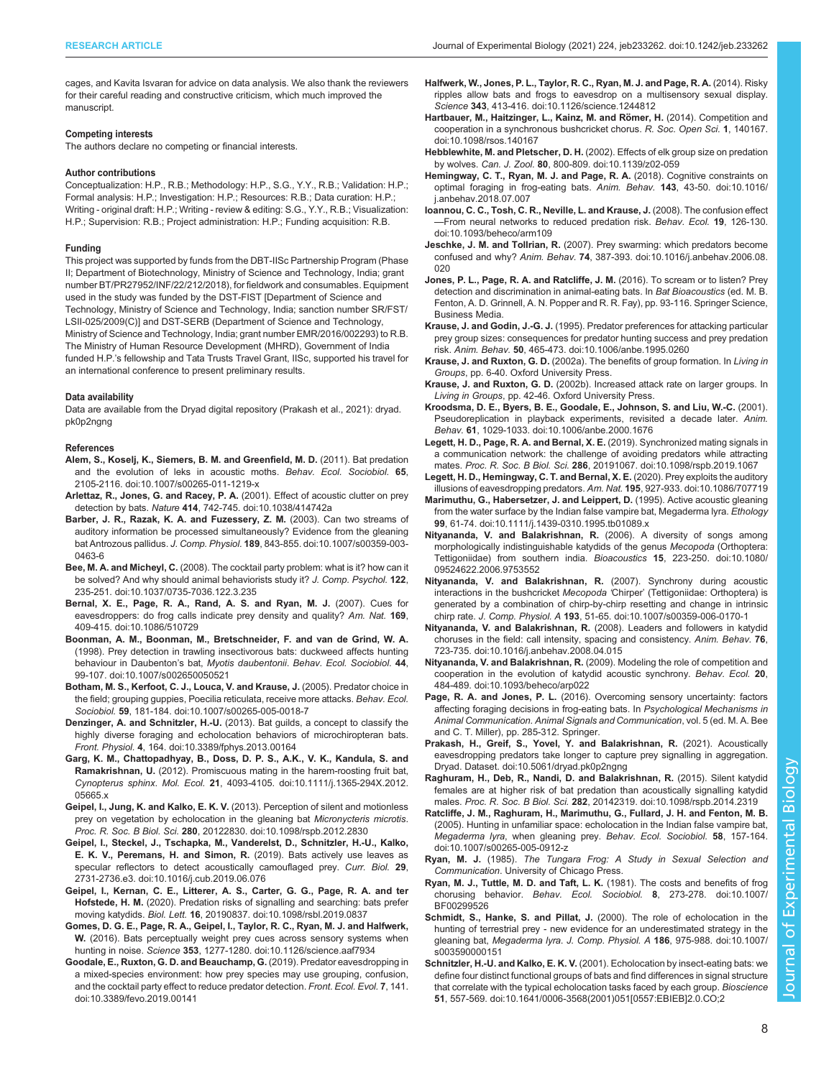<span id="page-7-0"></span>cages, and Kavita Isvaran for advice on data analysis. We also thank the reviewers for their careful reading and constructive criticism, which much improved the manuscript.

#### Competing interests

The authors declare no competing or financial interests.

#### Author contributions

Conceptualization: H.P., R.B.; Methodology: H.P., S.G., Y.Y., R.B.; Validation: H.P.; Formal analysis: H.P.; Investigation: H.P.; Resources: R.B.; Data curation: H.P.; Writing - original draft: H.P.; Writing - review & editing: S.G., Y.Y., R.B.; Visualization: H.P.; Supervision: R.B.; Project administration: H.P.; Funding acquisition: R.B.

#### Funding

This project was supported by funds from the DBT-IISc Partnership Program (Phase II; Department of Biotechnology, Ministry of Science and Technology, India; grant number BT/PR27952/INF/22/212/2018), for fieldwork and consumables. Equipment used in the study was funded by the DST-FIST [Department of Science and Technology, Ministry of Science and Technology, India; sanction number SR/FST/ LSII-025/2009(C)] and DST-SERB (Department of Science and Technology, Ministry of Science and Technology, India; grant number EMR/2016/002293) to R.B. The Ministry of Human Resource Development (MHRD), Government of India funded H.P.'s fellowship and Tata Trusts Travel Grant, IISc, supported his travel for an international conference to present preliminary results.

#### Data availability

Data are available from the Dryad digital repository (Prakash et al., 2021): [dryad.](https://doi.org/10.5061/dryad.pk0p2ngng) [pk0p2ngng](https://doi.org/10.5061/dryad.pk0p2ngng)

#### References

- [Alem, S., Koselj, K., Siemers, B. M. and Greenfield, M. D.](https://doi.org/10.1007/s00265-011-1219-x) (2011). Bat predation [and the evolution of leks in acoustic moths.](https://doi.org/10.1007/s00265-011-1219-x) Behav. Ecol. Sociobiol. 65, [2105-2116. doi:10.1007/s00265-011-1219-x](https://doi.org/10.1007/s00265-011-1219-x)
- [Arlettaz, R., Jones, G. and Racey, P. A.](https://doi.org/10.1038/414742a) (2001). Effect of acoustic clutter on prey detection by bats. Nature 414[, 742-745. doi:10.1038/414742a](https://doi.org/10.1038/414742a)
- [Barber, J. R., Razak, K. A. and Fuzessery, Z. M.](https://doi.org/10.1007/s00359-003-0463-6) (2003). Can two streams of [auditory information be processed simultaneously? Evidence from the gleaning](https://doi.org/10.1007/s00359-003-0463-6) bat Antrozous pallidus. J. Comp. Physiol. 189[, 843-855. doi:10.1007/s00359-003-](https://doi.org/10.1007/s00359-003-0463-6) [0463-6](https://doi.org/10.1007/s00359-003-0463-6)
- Bee, M. A. and Micheyl, C. [\(2008\). The cocktail party problem: what is it? how can it](https://doi.org/10.1037/0735-7036.122.3.235) [be solved? And why should animal behaviorists study it?](https://doi.org/10.1037/0735-7036.122.3.235) J. Comp. Psychol. 122, [235-251. doi:10.1037/0735-7036.122.3.235](https://doi.org/10.1037/0735-7036.122.3.235)
- [Bernal, X. E., Page, R. A., Rand, A. S. and Ryan, M. J.](https://doi.org/10.1086/510729) (2007). Cues for [eavesdroppers: do frog calls indicate prey density and quality?](https://doi.org/10.1086/510729) Am. Nat. 169, [409-415. doi:10.1086/510729](https://doi.org/10.1086/510729)
- [Boonman, A. M., Boonman, M., Bretschneider, F. and van de Grind, W. A.](https://doi.org/10.1007/s002650050521) [\(1998\). Prey detection in trawling insectivorous bats: duckweed affects hunting](https://doi.org/10.1007/s002650050521) [behaviour in Daubenton](https://doi.org/10.1007/s002650050521)'s bat, Myotis daubentonii. Behav. Ecol. Sociobiol. 44, [99-107. doi:10.1007/s002650050521](https://doi.org/10.1007/s002650050521)
- [Botham, M. S., Kerfoot, C. J., Louca, V. and Krause, J.](https://doi.org/10.1007/s00265-005-0018-7) (2005). Predator choice in [the field; grouping guppies, Poecilia reticulata, receive more attacks.](https://doi.org/10.1007/s00265-005-0018-7) Behav. Ecol. Sociobiol. 59[, 181-184. doi:10.1007/s00265-005-0018-7](https://doi.org/10.1007/s00265-005-0018-7)
- Denzinger, A. and Schnitzler, H.-U. [\(2013\). Bat guilds, a concept to classify the](https://doi.org/10.3389/fphys.2013.00164) [highly diverse foraging and echolocation behaviors of microchiropteran bats.](https://doi.org/10.3389/fphys.2013.00164) Front. Physiol. 4[, 164. doi:10.3389/fphys.2013.00164](https://doi.org/10.3389/fphys.2013.00164)
- [Garg, K. M., Chattopadhyay, B., Doss, D. P. S., A.K., V. K., Kandula, S. and](https://doi.org/10.1111/j.1365-294X.2012.05665.x) Ramakrishnan, U. [\(2012\). Promiscuous mating in the harem-roosting fruit bat,](https://doi.org/10.1111/j.1365-294X.2012.05665.x) Cynopterus sphinx. Mol. Ecol. 21[, 4093-4105. doi:10.1111/j.1365-294X.2012.](https://doi.org/10.1111/j.1365-294X.2012.05665.x) [05665.x](https://doi.org/10.1111/j.1365-294X.2012.05665.x)
- Geipel, I., Jung, K. and Kalko, E. K. V. [\(2013\). Perception of silent and motionless](https://doi.org/10.1098/rspb.2012.2830) [prey on vegetation by echolocation in the gleaning bat](https://doi.org/10.1098/rspb.2012.2830) Micronycteris microtis. Proc. R. Soc. B Biol. Sci. 280[, 20122830. doi:10.1098/rspb.2012.2830](https://doi.org/10.1098/rspb.2012.2830)
- [Geipel, I., Steckel, J., Tschapka, M., Vanderelst, D., Schnitzler, H.-U., Kalko,](https://doi.org/10.1016/j.cub.2019.06.076) [E. K. V., Peremans, H. and Simon, R.](https://doi.org/10.1016/j.cub.2019.06.076) (2019). Bats actively use leaves as [specular reflectors to detect acoustically camouflaged prey.](https://doi.org/10.1016/j.cub.2019.06.076) Curr. Biol. 29, [2731-2736.e3. doi:10.1016/j.cub.2019.06.076](https://doi.org/10.1016/j.cub.2019.06.076)
- [Geipel, I., Kernan, C. E., Litterer, A. S., Carter, G. G., Page, R. A. and ter](https://doi.org/10.1098/rsbl.2019.0837) Hofstede, H. M. [\(2020\). Predation risks of signalling and searching: bats prefer](https://doi.org/10.1098/rsbl.2019.0837) moving katydids. Biol. Lett. 16[, 20190837. doi:10.1098/rsbl.2019.0837](https://doi.org/10.1098/rsbl.2019.0837)
- [Gomes, D. G. E., Page, R. A., Geipel, I., Taylor, R. C., Ryan, M. J. and Halfwerk,](https://doi.org/10.1126/science.aaf7934) W. [\(2016\). Bats perceptually weight prey cues across sensory systems when](https://doi.org/10.1126/science.aaf7934) hunting in noise. Science 353[, 1277-1280. doi:10.1126/science.aaf7934](https://doi.org/10.1126/science.aaf7934)
- [Goodale, E., Ruxton, G. D. and Beauchamp, G.](https://doi.org/10.3389/fevo.2019.00141) (2019). Predator eavesdropping in [a mixed-species environment: how prey species may use grouping, confusion,](https://doi.org/10.3389/fevo.2019.00141) [and the cocktail party effect to reduce predator detection.](https://doi.org/10.3389/fevo.2019.00141) Front. Ecol. Evol. 7, 141. [doi:10.3389/fevo.2019.00141](https://doi.org/10.3389/fevo.2019.00141)
- [Halfwerk, W., Jones, P. L., Taylor, R. C., Ryan, M. J. and Page, R. A.](https://doi.org/10.1126/science.1244812) (2014). Risky [ripples allow bats and frogs to eavesdrop on a multisensory sexual display.](https://doi.org/10.1126/science.1244812) Science 343[, 413-416. doi:10.1126/science.1244812](https://doi.org/10.1126/science.1244812)
- Hartbauer, M., Haitzinger, L., Kainz, M. and Römer, H. (2014). Competition and [cooperation in a synchronous bushcricket chorus.](https://doi.org/10.1098/rsos.140167) R. Soc. Open Sci. 1, 140167. [doi:10.1098/rsos.140167](https://doi.org/10.1098/rsos.140167)
- Hebblewhite, M. and Pletscher, D. H. [\(2002\). Effects of elk group size on predation](https://doi.org/10.1139/z02-059) by wolves. Can. J. Zool. 80[, 800-809. doi:10.1139/z02-059](https://doi.org/10.1139/z02-059)
- [Hemingway, C. T., Ryan, M. J. and Page, R. A.](https://doi.org/10.1016/j.anbehav.2018.07.007) (2018). Cognitive constraints on [optimal foraging in frog-eating bats.](https://doi.org/10.1016/j.anbehav.2018.07.007) Anim. Behav. 143, 43-50. doi:10.1016/ [j.anbehav.2018.07.007](https://doi.org/10.1016/j.anbehav.2018.07.007)
- [Ioannou, C. C., Tosh, C. R., Neville, L. and Krause, J.](https://doi.org/10.1093/beheco/arm109) (2008). The confusion effect -[From neural networks to reduced predation risk.](https://doi.org/10.1093/beheco/arm109) Behav. Ecol. 19, 126-130. [doi:10.1093/beheco/arm109](https://doi.org/10.1093/beheco/arm109)
- Jeschke, J. M. and Tollrian, R. [\(2007\). Prey swarming: which predators become](https://doi.org/10.1016/j.anbehav.2006.08.020) confused and why? Anim. Behav. 74[, 387-393. doi:10.1016/j.anbehav.2006.08.](https://doi.org/10.1016/j.anbehav.2006.08.020) [020](https://doi.org/10.1016/j.anbehav.2006.08.020)
- Jones, P. L., Page, R. A. and Ratcliffe, J. M. (2016). To scream or to listen? Prey detection and discrimination in animal-eating bats. In Bat Bioacoustics (ed. M. B. Fenton, A. D. Grinnell, A. N. Popper and R. R. Fay), pp. 93-116. Springer Science, Business Media.
- Krause, J. and Godin, J.-G. J. [\(1995\). Predator preferences for attacking particular](https://doi.org/10.1006/anbe.1995.0260) [prey group sizes: consequences for predator hunting success and prey predation](https://doi.org/10.1006/anbe.1995.0260) risk. Anim. Behav. 50[, 465-473. doi:10.1006/anbe.1995.0260](https://doi.org/10.1006/anbe.1995.0260)
- Krause, J. and Ruxton, G. D. (2002a). The benefits of group formation. In Living in Groups, pp. 6-40. Oxford University Press.
- Krause, J. and Ruxton, G. D. (2002b). Increased attack rate on larger groups. In Living in Groups, pp. 42-46. Oxford University Press.
- [Kroodsma, D. E., Byers, B. E., Goodale, E., Johnson, S. and Liu, W.-C.](https://doi.org/10.1006/anbe.2000.1676) (2001). [Pseudoreplication in playback experiments, revisited a decade later.](https://doi.org/10.1006/anbe.2000.1676) Anim. Behav. 61[, 1029-1033. doi:10.1006/anbe.2000.1676](https://doi.org/10.1006/anbe.2000.1676)
- [Legett, H. D., Page, R. A. and Bernal, X. E.](https://doi.org/10.1098/rspb.2019.1067) (2019). Synchronized mating signals in [a communication network: the challenge of avoiding predators while attracting](https://doi.org/10.1098/rspb.2019.1067) mates. Proc. R. Soc. B Biol. Sci. 286[, 20191067. doi:10.1098/rspb.2019.1067](https://doi.org/10.1098/rspb.2019.1067)
- [Legett, H. D., Hemingway, C. T. and Bernal, X. E.](https://doi.org/10.1086/707719) (2020). Prey exploits the auditory [illusions of eavesdropping predators.](https://doi.org/10.1086/707719) Am. Nat. 195, 927-933. doi:10.1086/707719
- [Marimuthu, G., Habersetzer, J. and Leippert, D.](https://doi.org/10.1111/j.1439-0310.1995.tb01089.x) (1995). Active acoustic gleaning [from the water surface by the Indian false vampire bat, Megaderma lyra.](https://doi.org/10.1111/j.1439-0310.1995.tb01089.x) Ethology 99[, 61-74. doi:10.1111/j.1439-0310.1995.tb01089.x](https://doi.org/10.1111/j.1439-0310.1995.tb01089.x)
- [Nityananda, V. and Balakrishnan, R.](https://doi.org/10.1080/09524622.2006.9753552) (2006). A diversity of songs among [morphologically indistinguishable katydids of the genus](https://doi.org/10.1080/09524622.2006.9753552) Mecopoda (Orthoptera: [Tettigoniidae\) from southern india.](https://doi.org/10.1080/09524622.2006.9753552) Bioacoustics 15, 223-250. doi:10.1080/ [09524622.2006.9753552](https://doi.org/10.1080/09524622.2006.9753552)
- [Nityananda, V. and Balakrishnan, R.](https://doi.org/10.1007/s00359-006-0170-1) (2007). Synchrony during acoustic [interactions in the bushcricket](https://doi.org/10.1007/s00359-006-0170-1) Mecopoda 'Chirper' (Tettigoniidae: Orthoptera) is [generated by a combination of chirp-by-chirp resetting and change in intrinsic](https://doi.org/10.1007/s00359-006-0170-1) chirp rate. J. Comp. Physiol. A 193[, 51-65. doi:10.1007/s00359-006-0170-1](https://doi.org/10.1007/s00359-006-0170-1)
- Nityananda, V. and Balakrishnan, R. [\(2008\). Leaders and followers in katydid](https://doi.org/10.1016/j.anbehav.2008.04.015) [choruses in the field: call intensity, spacing and consistency.](https://doi.org/10.1016/j.anbehav.2008.04.015) Anim. Behav. 76, [723-735. doi:10.1016/j.anbehav.2008.04.015](https://doi.org/10.1016/j.anbehav.2008.04.015)
- Nityananda, V. and Balakrishnan, R. [\(2009\). Modeling the role of competition and](https://doi.org/10.1093/beheco/arp022) [cooperation in the evolution of katydid acoustic synchrony.](https://doi.org/10.1093/beheco/arp022) Behav. Ecol. 20, [484-489. doi:10.1093/beheco/arp022](https://doi.org/10.1093/beheco/arp022)
- Page, R. A. and Jones, P. L. (2016). Overcoming sensory uncertainty: factors affecting foraging decisions in frog-eating bats. In Psychological Mechanisms in Animal Communication. Animal Signals and Communication, vol. 5 (ed. M. A. Bee and C. T. Miller), pp. 285-312. Springer.
- [Prakash, H., Greif, S., Yovel, Y. and Balakrishnan, R.](https://doi.org/10.5061/dryad.pk0p2ngng) (2021). Acoustically [eavesdropping predators take longer to capture prey signalling in aggregation.](https://doi.org/10.5061/dryad.pk0p2ngng) [Dryad. Dataset. doi:10.5061/dryad.pk0p2ngng](https://doi.org/10.5061/dryad.pk0p2ngng)
- [Raghuram, H., Deb, R., Nandi, D. and Balakrishnan, R.](https://doi.org/10.1098/rspb.2014.2319) (2015). Silent katydid [females are at higher risk of bat predation than acoustically signalling katydid](https://doi.org/10.1098/rspb.2014.2319) males. Proc. R. Soc. B Biol. Sci. 282[, 20142319. doi:10.1098/rspb.2014.2319](https://doi.org/10.1098/rspb.2014.2319)
- [Ratcliffe, J. M., Raghuram, H., Marimuthu, G., Fullard, J. H. and Fenton, M. B.](https://doi.org/10.1007/s00265-005-0912-z) [\(2005\). Hunting in unfamiliar space: echolocation in the Indian false vampire bat,](https://doi.org/10.1007/s00265-005-0912-z) Megaderma lyra, when gleaning prey. [Behav. Ecol. Sociobiol.](https://doi.org/10.1007/s00265-005-0912-z) 58, 157-164. [doi:10.1007/s00265-005-0912-z](https://doi.org/10.1007/s00265-005-0912-z)
- Ryan, M. J. (1985). The Tungara Frog: A Study in Sexual Selection and Communication. University of Chicago Press.
- [Ryan, M. J., Tuttle, M. D. and Taft, L. K.](https://doi.org/10.1007/BF00299526) (1981). The costs and benefits of frog chorusing behavior. Behav. Ecol. Sociobiol. 8[, 273-278. doi:10.1007/](https://doi.org/10.1007/BF00299526) [BF00299526](https://doi.org/10.1007/BF00299526)
- Schmidt, S., Hanke, S. and Pillat, J. [\(2000\). The role of echolocation in the](https://doi.org/10.1007/s003590000151) [hunting of terrestrial prey - new evidence for an underestimated strategy in the](https://doi.org/10.1007/s003590000151) gleaning bat, Megaderma lyra. J. Comp. Physiol. A 186[, 975-988. doi:10.1007/](https://doi.org/10.1007/s003590000151) [s003590000151](https://doi.org/10.1007/s003590000151)
- Schnitzler, H.-U. and Kalko, E. K. V. [\(2001\). Echolocation by insect-eating bats: we](https://doi.org/10.1641/0006-3568(2001)051[0557:EBIEB]2.0.CO;2) [define four distinct functional groups of bats and find differences in signal structure](https://doi.org/10.1641/0006-3568(2001)051[0557:EBIEB]2.0.CO;2) [that correlate with the typical echolocation tasks faced by each group.](https://doi.org/10.1641/0006-3568(2001)051[0557:EBIEB]2.0.CO;2) Bioscience 51[, 557-569. doi:10.1641/0006-3568\(2001\)051\[0557:EBIEB\]2.0.CO;2](https://doi.org/10.1641/0006-3568(2001)051[0557:EBIEB]2.0.CO;2)